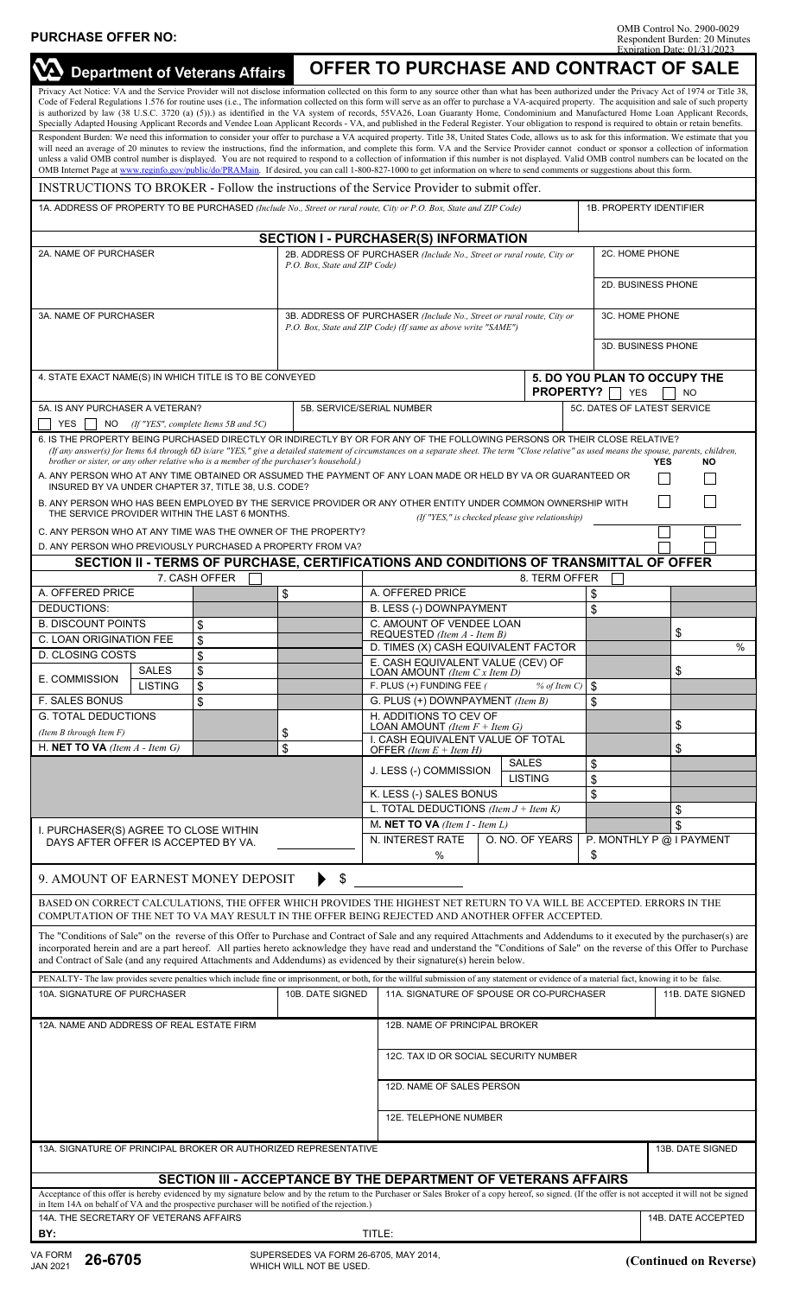| <b>VA</b> Department of Veterans Affairs                                                                                                                                                                                                                                                                                                                                                                                                                                                                                                                                                                                                                                                                                                                                                          |                                    | OFFER TO PURCHASE AND CONTRACT OF SALE                                                                                                 |                                                                                                                                      |                          |                                                                      |                                |  |
|---------------------------------------------------------------------------------------------------------------------------------------------------------------------------------------------------------------------------------------------------------------------------------------------------------------------------------------------------------------------------------------------------------------------------------------------------------------------------------------------------------------------------------------------------------------------------------------------------------------------------------------------------------------------------------------------------------------------------------------------------------------------------------------------------|------------------------------------|----------------------------------------------------------------------------------------------------------------------------------------|--------------------------------------------------------------------------------------------------------------------------------------|--------------------------|----------------------------------------------------------------------|--------------------------------|--|
| Privacy Act Notice: VA and the Service Provider will not disclose information collected on this form to any source other than what has been authorized under the Privacy Act of 1974 or Title 38,<br>Code of Federal Regulations 1.576 for routine uses (i.e., The information collected on this form will serve as an offer to purchase a VA-acquired property. The acquisition and sale of such property<br>is authorized by law (38 U.S.C. 3720 (a) (5)).) as identified in the VA system of records, 55VA26, Loan Guaranty Home, Condominium and Manufactured Home Loan Applicant Records,<br>Specially Adapted Housing Applicant Records and Vendee Loan Applicant Records - VA, and published in the Federal Register. Your obligation to respond is required to obtain or retain benefits. |                                    |                                                                                                                                        |                                                                                                                                      |                          |                                                                      |                                |  |
| Respondent Burden: We need this information to consider your offer to purchase a VA acquired property. Title 38, United States Code, allows us to ask for this information. We estimate that you<br>will need an average of 20 minutes to review the instructions, find the information, and complete this form. VA and the Service Provider cannot conduct or sponsor a collection of information<br>unless a valid OMB control number is displayed. You are not required to respond to a collection of information if this number is not displayed. Valid OMB control numbers can be located on the<br>OMB Internet Page at www.reginfo.gov/public/do/PRAMain. If desired, you can call 1-800-827-1000 to get information on where to send comments or suggestions about this form.             |                                    |                                                                                                                                        |                                                                                                                                      |                          |                                                                      |                                |  |
| INSTRUCTIONS TO BROKER - Follow the instructions of the Service Provider to submit offer.                                                                                                                                                                                                                                                                                                                                                                                                                                                                                                                                                                                                                                                                                                         |                                    |                                                                                                                                        |                                                                                                                                      |                          |                                                                      |                                |  |
| 1A. ADDRESS OF PROPERTY TO BE PURCHASED (Include No., Street or rural route, City or P.O. Box, State and ZIP Code)                                                                                                                                                                                                                                                                                                                                                                                                                                                                                                                                                                                                                                                                                |                                    |                                                                                                                                        |                                                                                                                                      |                          |                                                                      | <b>1B. PROPERTY IDENTIFIER</b> |  |
| <b>SECTION I - PURCHASER(S) INFORMATION</b>                                                                                                                                                                                                                                                                                                                                                                                                                                                                                                                                                                                                                                                                                                                                                       |                                    |                                                                                                                                        |                                                                                                                                      |                          |                                                                      |                                |  |
| 2A. NAME OF PURCHASER                                                                                                                                                                                                                                                                                                                                                                                                                                                                                                                                                                                                                                                                                                                                                                             |                                    | 2B. ADDRESS OF PURCHASER (Include No., Street or rural route, City or<br>P.O. Box, State and ZIP Code)                                 |                                                                                                                                      |                          |                                                                      | 2C. HOME PHONE                 |  |
|                                                                                                                                                                                                                                                                                                                                                                                                                                                                                                                                                                                                                                                                                                                                                                                                   |                                    |                                                                                                                                        |                                                                                                                                      |                          |                                                                      | 2D. BUSINESS PHONE             |  |
| 3A. NAME OF PURCHASER                                                                                                                                                                                                                                                                                                                                                                                                                                                                                                                                                                                                                                                                                                                                                                             |                                    | 3B. ADDRESS OF PURCHASER (Include No., Street or rural route, City or<br>P.O. Box, State and ZIP Code) (If same as above write "SAME") |                                                                                                                                      |                          | 3C. HOME PHONE<br>3D. BUSINESS PHONE                                 |                                |  |
|                                                                                                                                                                                                                                                                                                                                                                                                                                                                                                                                                                                                                                                                                                                                                                                                   |                                    |                                                                                                                                        |                                                                                                                                      |                          |                                                                      |                                |  |
| 4. STATE EXACT NAME(S) IN WHICH TITLE IS TO BE CONVEYED                                                                                                                                                                                                                                                                                                                                                                                                                                                                                                                                                                                                                                                                                                                                           |                                    |                                                                                                                                        |                                                                                                                                      |                          | 5. DO YOU PLAN TO OCCUPY THE<br>PROPERTY?<br><b>YES</b><br><b>NO</b> |                                |  |
| 5A. IS ANY PURCHASER A VETERAN?<br><b>YES</b><br>NO.<br>(If "YES", complete Items 5B and 5C)                                                                                                                                                                                                                                                                                                                                                                                                                                                                                                                                                                                                                                                                                                      |                                    | 5B. SERVICE/SERIAL NUMBER                                                                                                              |                                                                                                                                      |                          | 5C. DATES OF LATEST SERVICE                                          |                                |  |
| 6. IS THE PROPERTY BEING PURCHASED DIRECTLY OR INDIRECTLY BY OR FOR ANY OF THE FOLLOWING PERSONS OR THEIR CLOSE RELATIVE?<br>(If any answer(s) for Items 6A through 6D is/are "YES," give a detailed statement of circumstances on a separate sheet. The term "Close relative" as used means the spouse, parents, children,<br>brother or sister, or any other relative who is a member of the purchaser's household.)<br><b>NO</b><br><b>YES</b><br>A. ANY PERSON WHO AT ANY TIME OBTAINED OR ASSUMED THE PAYMENT OF ANY LOAN MADE OR HELD BY VA OR GUARANTEED OR<br>INSURED BY VA UNDER CHAPTER 37, TITLE 38, U.S. CODE?                                                                                                                                                                        |                                    |                                                                                                                                        |                                                                                                                                      |                          |                                                                      |                                |  |
| B. ANY PERSON WHO HAS BEEN EMPLOYED BY THE SERVICE PROVIDER OR ANY OTHER ENTITY UNDER COMMON OWNERSHIP WITH<br>THE SERVICE PROVIDER WITHIN THE LAST 6 MONTHS.<br>(If "YES," is checked please give relationship)                                                                                                                                                                                                                                                                                                                                                                                                                                                                                                                                                                                  |                                    |                                                                                                                                        |                                                                                                                                      |                          |                                                                      |                                |  |
| C. ANY PERSON WHO AT ANY TIME WAS THE OWNER OF THE PROPERTY?                                                                                                                                                                                                                                                                                                                                                                                                                                                                                                                                                                                                                                                                                                                                      |                                    |                                                                                                                                        |                                                                                                                                      |                          |                                                                      |                                |  |
| D. ANY PERSON WHO PREVIOUSLY PURCHASED A PROPERTY FROM VA?                                                                                                                                                                                                                                                                                                                                                                                                                                                                                                                                                                                                                                                                                                                                        |                                    |                                                                                                                                        |                                                                                                                                      |                          |                                                                      |                                |  |
| SECTION II - TERMS OF PURCHASE, CERTIFICATIONS AND CONDITIONS OF TRANSMITTAL OF OFFER<br>7. CASH OFFER<br>8. TERM OFFER                                                                                                                                                                                                                                                                                                                                                                                                                                                                                                                                                                                                                                                                           |                                    |                                                                                                                                        |                                                                                                                                      |                          |                                                                      |                                |  |
| A. OFFERED PRICE                                                                                                                                                                                                                                                                                                                                                                                                                                                                                                                                                                                                                                                                                                                                                                                  |                                    | \$                                                                                                                                     | A. OFFERED PRICE                                                                                                                     |                          | \$                                                                   |                                |  |
| DEDUCTIONS:                                                                                                                                                                                                                                                                                                                                                                                                                                                                                                                                                                                                                                                                                                                                                                                       |                                    |                                                                                                                                        | B. LESS (-) DOWNPAYMENT                                                                                                              |                          | \$                                                                   |                                |  |
| <b>B. DISCOUNT POINTS</b><br>\$                                                                                                                                                                                                                                                                                                                                                                                                                                                                                                                                                                                                                                                                                                                                                                   |                                    |                                                                                                                                        |                                                                                                                                      | C. AMOUNT OF VENDEE LOAN |                                                                      |                                |  |
| C. LOAN ORIGINATION FEE<br>\$                                                                                                                                                                                                                                                                                                                                                                                                                                                                                                                                                                                                                                                                                                                                                                     |                                    |                                                                                                                                        | REQUESTED (Item A - Item B)                                                                                                          |                          |                                                                      | \$                             |  |
| D. CLOSING COSTS                                                                                                                                                                                                                                                                                                                                                                                                                                                                                                                                                                                                                                                                                                                                                                                  | \$                                 |                                                                                                                                        | D. TIMES (X) CASH EQUIVALENT FACTOR                                                                                                  |                          |                                                                      | $\%$                           |  |
| <b>SALES</b><br>E. COMMISSION<br>LISTING                                                                                                                                                                                                                                                                                                                                                                                                                                                                                                                                                                                                                                                                                                                                                          | \$<br>\$                           |                                                                                                                                        | E. CASH EQUIVALENT VALUE (CEV) OF<br>\$<br>LOAN AMOUNT (Item $Cx$ Item $D$ )<br>F. PLUS (+) FUNDING FEE (<br>\$<br>$%$ of Item $C$ ) |                          |                                                                      |                                |  |
| <b>F. SALES BONUS</b>                                                                                                                                                                                                                                                                                                                                                                                                                                                                                                                                                                                                                                                                                                                                                                             | \$                                 |                                                                                                                                        | \$<br>G. PLUS (+) DOWNPAYMENT (Item B)                                                                                               |                          |                                                                      |                                |  |
| <b>G. TOTAL DEDUCTIONS</b>                                                                                                                                                                                                                                                                                                                                                                                                                                                                                                                                                                                                                                                                                                                                                                        |                                    |                                                                                                                                        | H. ADDITIONS TO CEV OF                                                                                                               |                          |                                                                      |                                |  |
| (Item B through Item $F$ )                                                                                                                                                                                                                                                                                                                                                                                                                                                                                                                                                                                                                                                                                                                                                                        |                                    | \$                                                                                                                                     | \$<br>LOAN AMOUNT (Item $F + Item G$ )<br>I. CASH EQUIVALENT VALUE OF TOTAL                                                          |                          |                                                                      |                                |  |
| H. NET TO VA (Item $A$ - Item $G$ )                                                                                                                                                                                                                                                                                                                                                                                                                                                                                                                                                                                                                                                                                                                                                               | \$<br>OFFER (Item $E +$ Item $H$ ) |                                                                                                                                        |                                                                                                                                      |                          |                                                                      | \$                             |  |
|                                                                                                                                                                                                                                                                                                                                                                                                                                                                                                                                                                                                                                                                                                                                                                                                   |                                    |                                                                                                                                        | J. LESS (-) COMMISSION                                                                                                               | <b>SALES</b>             | \$                                                                   |                                |  |
|                                                                                                                                                                                                                                                                                                                                                                                                                                                                                                                                                                                                                                                                                                                                                                                                   |                                    |                                                                                                                                        |                                                                                                                                      | <b>LISTING</b>           | \$                                                                   |                                |  |
|                                                                                                                                                                                                                                                                                                                                                                                                                                                                                                                                                                                                                                                                                                                                                                                                   |                                    | K. LESS (-) SALES BONUS<br>L. TOTAL DEDUCTIONS (Item $J +$ Item K)                                                                     |                                                                                                                                      | \$                       |                                                                      |                                |  |
|                                                                                                                                                                                                                                                                                                                                                                                                                                                                                                                                                                                                                                                                                                                                                                                                   |                                    | M. NET TO VA (Item $I$ - Item $L$ )                                                                                                    |                                                                                                                                      |                          | \$<br>\$                                                             |                                |  |
| I. PURCHASER(S) AGREE TO CLOSE WITHIN<br>DAYS AFTER OFFER IS ACCEPTED BY VA.                                                                                                                                                                                                                                                                                                                                                                                                                                                                                                                                                                                                                                                                                                                      |                                    |                                                                                                                                        | N. INTEREST RATE<br>O. NO. OF YEARS                                                                                                  |                          | P. MONTHLY P @ I PAYMENT                                             |                                |  |
|                                                                                                                                                                                                                                                                                                                                                                                                                                                                                                                                                                                                                                                                                                                                                                                                   |                                    | %                                                                                                                                      |                                                                                                                                      | \$                       |                                                                      |                                |  |
| \$<br>9. AMOUNT OF EARNEST MONEY DEPOSIT<br>BASED ON CORRECT CALCULATIONS, THE OFFER WHICH PROVIDES THE HIGHEST NET RETURN TO VA WILL BE ACCEPTED. ERRORS IN THE                                                                                                                                                                                                                                                                                                                                                                                                                                                                                                                                                                                                                                  |                                    |                                                                                                                                        |                                                                                                                                      |                          |                                                                      |                                |  |
| COMPUTATION OF THE NET TO VA MAY RESULT IN THE OFFER BEING REJECTED AND ANOTHER OFFER ACCEPTED.<br>The "Conditions of Sale" on the reverse of this Offer to Purchase and Contract of Sale and any required Attachments and Addendums to it executed by the purchaser(s) are                                                                                                                                                                                                                                                                                                                                                                                                                                                                                                                       |                                    |                                                                                                                                        |                                                                                                                                      |                          |                                                                      |                                |  |
| incorporated herein and are a part hereof. All parties hereto acknowledge they have read and understand the "Conditions of Sale" on the reverse of this Offer to Purchase<br>and Contract of Sale (and any required Attachments and Addendums) as evidenced by their signature(s) herein below.                                                                                                                                                                                                                                                                                                                                                                                                                                                                                                   |                                    |                                                                                                                                        |                                                                                                                                      |                          |                                                                      |                                |  |
| PENALTY-The law provides severe penalties which include fine or imprisonment, or both, for the willful submission of any statement or evidence of a material fact, knowing it to be false.                                                                                                                                                                                                                                                                                                                                                                                                                                                                                                                                                                                                        |                                    |                                                                                                                                        |                                                                                                                                      |                          |                                                                      |                                |  |
| 10A. SIGNATURE OF PURCHASER                                                                                                                                                                                                                                                                                                                                                                                                                                                                                                                                                                                                                                                                                                                                                                       | 10B. DATE SIGNED                   |                                                                                                                                        | 11A. SIGNATURE OF SPOUSE OR CO-PURCHASER<br>11B. DATE SIGNED                                                                         |                          |                                                                      |                                |  |
| 12A. NAME AND ADDRESS OF REAL ESTATE FIRM                                                                                                                                                                                                                                                                                                                                                                                                                                                                                                                                                                                                                                                                                                                                                         |                                    |                                                                                                                                        | 12B. NAME OF PRINCIPAL BROKER                                                                                                        |                          |                                                                      |                                |  |
|                                                                                                                                                                                                                                                                                                                                                                                                                                                                                                                                                                                                                                                                                                                                                                                                   |                                    |                                                                                                                                        | 12C. TAX ID OR SOCIAL SECURITY NUMBER                                                                                                |                          |                                                                      |                                |  |
|                                                                                                                                                                                                                                                                                                                                                                                                                                                                                                                                                                                                                                                                                                                                                                                                   |                                    |                                                                                                                                        | 12D. NAME OF SALES PERSON                                                                                                            |                          |                                                                      |                                |  |
|                                                                                                                                                                                                                                                                                                                                                                                                                                                                                                                                                                                                                                                                                                                                                                                                   |                                    |                                                                                                                                        |                                                                                                                                      | 12E. TELEPHONE NUMBER    |                                                                      |                                |  |
| 13A. SIGNATURE OF PRINCIPAL BROKER OR AUTHORIZED REPRESENTATIVE                                                                                                                                                                                                                                                                                                                                                                                                                                                                                                                                                                                                                                                                                                                                   |                                    |                                                                                                                                        |                                                                                                                                      |                          |                                                                      | 13B. DATE SIGNED               |  |
| SECTION III - ACCEPTANCE BY THE DEPARTMENT OF VETERANS AFFAIRS                                                                                                                                                                                                                                                                                                                                                                                                                                                                                                                                                                                                                                                                                                                                    |                                    |                                                                                                                                        |                                                                                                                                      |                          |                                                                      |                                |  |
| Acceptance of this offer is hereby evidenced by my signature below and by the return to the Purchaser or Sales Broker of a copy hereof, so signed. (If the offer is not accepted it will not be signed<br>in Item 14A on behalf of VA and the prospective purchaser will be notified of the rejection.)                                                                                                                                                                                                                                                                                                                                                                                                                                                                                           |                                    |                                                                                                                                        |                                                                                                                                      |                          |                                                                      |                                |  |
| 14A. THE SECRETARY OF VETERANS AFFAIRS                                                                                                                                                                                                                                                                                                                                                                                                                                                                                                                                                                                                                                                                                                                                                            |                                    |                                                                                                                                        |                                                                                                                                      |                          |                                                                      | 14B. DATE ACCEPTED             |  |

**PURCHASE OFFER NO:**

**BY:** TITLE: